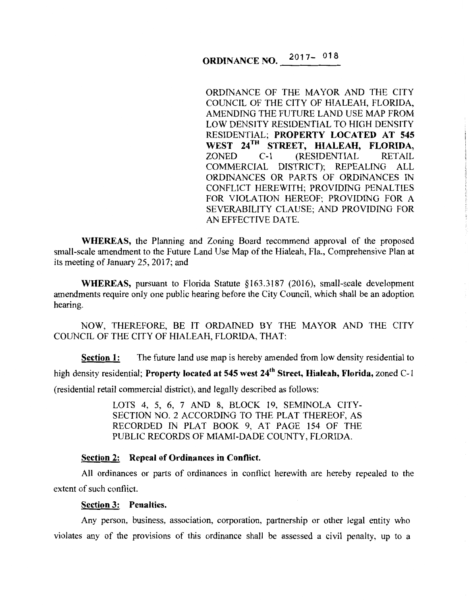# **ORDINANCE NO.** 2017-018

ORDINANCE OF THE MAYOR AND THE CITY COUNCIL OF THE CITY OF HIALEAH, FLORIDA, AMENDING THE FUTURE LAND USE MAP FROM LOW DENSITY RESIDENTIAL TO HIGH DENSITY RESIDENTIAL; **PROPERTY LOCATED AT 545**  WEST 24<sup>TH</sup> STREET, HIALEAH, FLORIDA,<br>ZONED C-1 (RESIDENTIAL RETAIL C-1 (RESIDENTIAL COMMERCIAL DISTRICT); REPEALING ALL ORDINANCES OR PARTS OF ORDINANCES IN CONFLICT HEREWITH; PROVIDING PENAL TIES FOR VIOLATION HEREOF; PROVIDING FOR A SEVERABILITY CLAUSE; AND PROVIDING FOR AN EFFECTIVE DATE.

**WHEREAS,** the Planning and Zoning Board recommend approval of the proposed small-scale amendment to the Future Land Use Map of the Hialeah, Fla., Comprehensive Plan at its meeting of January 25, 2017; and

**WHEREAS,** pursuant to Florida Statute §163.3187 (2016), small-scale development amendments require only one public hearing before the City Council, which shall be an adoption hearing.

NOW, THEREFORE, BE IT ORDAINED BY THE MAYOR AND THE CITY COUNCIL OF THE CITY OF HIALEAH, FLORIDA, THAT:

**Section 1:** The future land use map is hereby amended from low density residential to high density residential; **Property located at 545 west 24th Street, Hialeah, Florida,** zoned C-1 (residential retail commercial district), and legally described as follows:

> LOTS 4, 5, 6, 7 AND 8, BLOCK 19, SEMINOLA CITY-SECTION NO. 2 ACCORDING TO THE PLAT THEREOF, AS RECORDED IN PLAT BOOK 9, AT PAGE 154 OF THE PUBLIC RECORDS OF MIAMI-DADE COUNTY, FLORIDA.

#### **Section 2: Repeal of Ordinances in Conflict.**

All ordinances or parts of ordinances in conflict herewith are hereby repealed to the extent of such conflict.

#### **Section 3: Penalties.**

Any person, business, association, corporation, partnership or other legal entity who violates any of the provisions of this ordinance shall be assessed a civil penalty, up to a